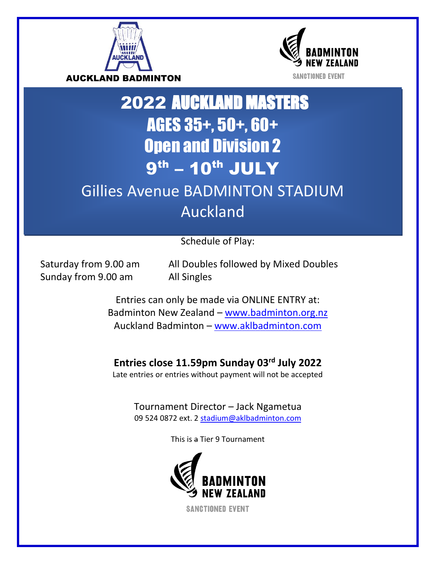



# 2022 AUCKLAND MASTERS AGES 35+, 50+, 60+ Open and Division 2 9<sup>th</sup> – 10<sup>th</sup> JULY Gillies Avenue BADMINTON STADIUM

# Auckland

Schedule of Play:

Sunday from 9.00 am All Singles

Saturday from 9.00 am All Doubles followed by Mixed Doubles

Entries can only be made via ONLINE ENTRY at: Badminton New Zealand – [www.badminton.org.nz](http://www.badminton.org.nz/) Auckland Badminton – [www.aklbadminton.com](http://www.aklbadminton.com/)

### **Entries close 11.59pm Sunday 03rd July 2022**

Late entries or entries without payment will not be accepted

Tournament Director – Jack Ngametua 09 524 0872 ext. 2 [stadium@aklbadminton.com](mailto:stadium@aklbadminton.com)

This is a Tier 9 Tournament



**SANCTIONED EVENT**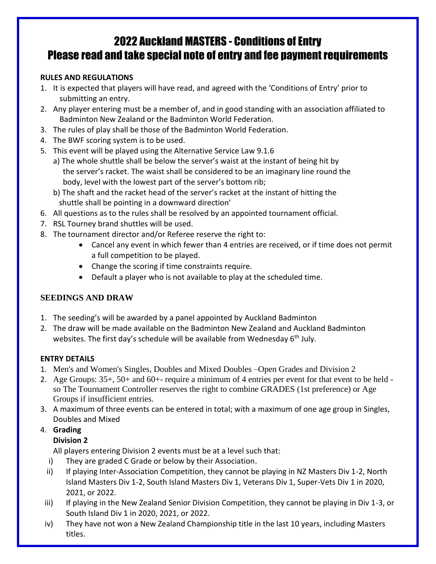## 2022 Auckland MASTERS - Conditions of Entry Please read and take special note of entry and fee payment requirements

#### **RULES AND REGULATIONS**

- 1. It is expected that players will have read, and agreed with the 'Conditions of Entry' prior to submitting an entry.
- 2. Any player entering must be a member of, and in good standing with an association affiliated to Badminton New Zealand or the Badminton World Federation.
- 3. The rules of play shall be those of the Badminton World Federation.
- 4. The BWF scoring system is to be used.
- 5. This event will be played using the Alternative Service Law 9.1.6
	- a) The whole shuttle shall be below the server's waist at the instant of being hit by the server's racket. The waist shall be considered to be an imaginary line round the body, level with the lowest part of the server's bottom rib;
	- b) The shaft and the racket head of the server's racket at the instant of hitting the shuttle shall be pointing in a downward direction'
- 6. All questions as to the rules shall be resolved by an appointed tournament official.
- 7. RSL Tourney brand shuttles will be used.
- 8. The tournament director and/or Referee reserve the right to:
	- Cancel any event in which fewer than 4 entries are received, or if time does not permit a full competition to be played.
	- Change the scoring if time constraints require.
	- Default a player who is not available to play at the scheduled time.

#### **SEEDINGS AND DRAW**

- 1. The seeding's will be awarded by a panel appointed by Auckland Badminton
- 2. The draw will be made available on the Badminton New Zealand and Auckland Badminton websites. The first day's schedule will be available from Wednesday 6<sup>th</sup> July.

#### **ENTRY DETAILS**

- 1. Men's and Women's Singles, Doubles and Mixed Doubles –Open Grades and Division 2
- 2. Age Groups: 35+, 50+ and 60+- require a minimum of 4 entries per event for that event to be held so The Tournament Controller reserves the right to combine GRADES (1st preference) or Age Groups if insufficient entries.
- 3. A maximum of three events can be entered in total; with a maximum of one age group in Singles, Doubles and Mixed

#### 4. **Grading**

#### **Division 2**

All players entering Division 2 events must be at a level such that:

- i) They are graded C Grade or below by their Association.
- ii) If playing Inter-Association Competition, they cannot be playing in NZ Masters Div 1-2, North Island Masters Div 1-2, South Island Masters Div 1, Veterans Div 1, Super-Vets Div 1 in 2020, 2021, or 2022.
- iii) If playing in the New Zealand Senior Division Competition, they cannot be playing in Div 1-3, or South Island Div 1 in 2020, 2021, or 2022.
- iv) They have not won a New Zealand Championship title in the last 10 years, including Masters titles.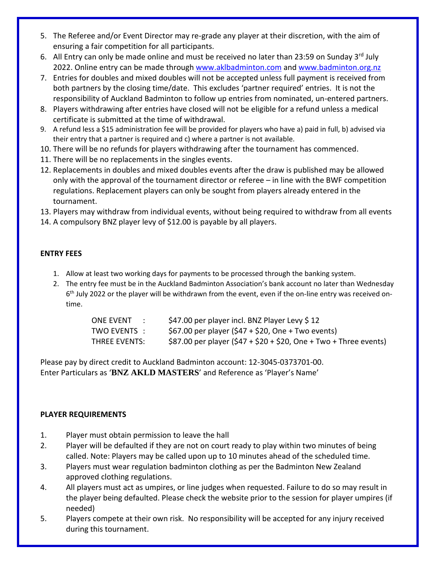- 5. The Referee and/or Event Director may re-grade any player at their discretion, with the aim of ensuring a fair competition for all participants.
- 6. All Entry can only be made online and must be received no later than 23:59 on Sunday 3<sup>rd</sup> July 2022. Online entry can be made through [www.aklbadminton.com](http://www.aklbadminton.com/) and [www.badminton.org.nz](http://www.badminton.org.nz/)
- 7. Entries for doubles and mixed doubles will not be accepted unless full payment is received from both partners by the closing time/date. This excludes 'partner required' entries. It is not the responsibility of Auckland Badminton to follow up entries from nominated, un-entered partners.
- 8. Players withdrawing after entries have closed will not be eligible for a refund unless a medical certificate is submitted at the time of withdrawal.
- 9. A refund less a \$15 administration fee will be provided for players who have a) paid in full, b) advised via their entry that a partner is required and c) where a partner is not available.
- 10. There will be no refunds for players withdrawing after the tournament has commenced.
- 11. There will be no replacements in the singles events.
- 12. Replacements in doubles and mixed doubles events after the draw is published may be allowed only with the approval of the tournament director or referee – in line with the BWF competition regulations. Replacement players can only be sought from players already entered in the tournament.
- 13. Players may withdraw from individual events, without being required to withdraw from all events
- 14. A compulsory BNZ player levy of \$12.00 is payable by all players.

#### **ENTRY FEES**

- 1. Allow at least two working days for payments to be processed through the banking system.
- 2. The entry fee must be in the Auckland Badminton Association's bank account no later than Wednesday 6<sup>th</sup> July 2022 or the player will be withdrawn from the event, even if the on-line entry was received ontime.

| <b>ONE EVENT</b><br>$\mathcal{L}_{\text{max}}$ | \$47.00 per player incl. BNZ Player Levy \$12                      |
|------------------------------------------------|--------------------------------------------------------------------|
| TWO EVENTS :                                   | \$67.00 per player $($ \$47 + \$20, One + Two events)              |
| THREE EVENTS:                                  | \$87.00 per player $(547 + 520 + 520)$ , One + Two + Three events) |

Please pay by direct credit to Auckland Badminton account: 12-3045-0373701-00. Enter Particulars as '**BNZ AKLD MASTERS**' and Reference as 'Player's Name'

#### **PLAYER REQUIREMENTS**

- 1. Player must obtain permission to leave the hall
- 2. Player will be defaulted if they are not on court ready to play within two minutes of being called. Note: Players may be called upon up to 10 minutes ahead of the scheduled time.
- 3. Players must wear regulation badminton clothing as per the Badminton New Zealand approved clothing regulations.
- 4. All players must act as umpires, or line judges when requested. Failure to do so may result in the player being defaulted. Please check the website prior to the session for player umpires (if needed)
- 5. Players compete at their own risk. No responsibility will be accepted for any injury received during this tournament.